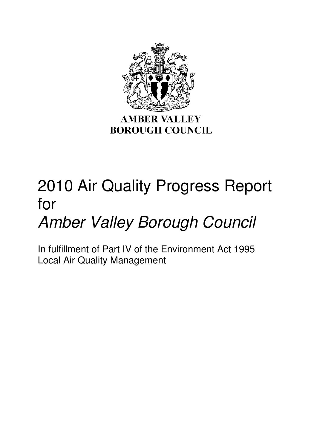

# 2010 Air Quality Progress Report for

# Amber Valley Borough Council

In fulfillment of Part IV of the Environment Act 1995 Local Air Quality Management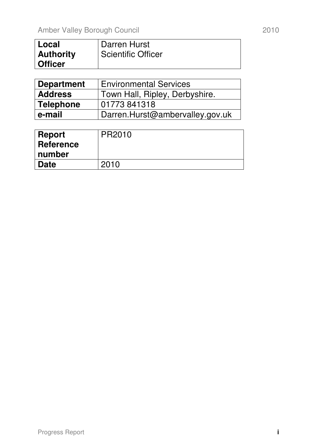| l Local          | Darren Hurst              |
|------------------|---------------------------|
| <b>Authority</b> | <b>Scientific Officer</b> |
| <b>Officer</b>   |                           |

| <b>Department</b> | <b>Environmental Services</b>   |  |  |  |
|-------------------|---------------------------------|--|--|--|
| <b>Address</b>    | Town Hall, Ripley, Derbyshire.  |  |  |  |
| <b>Telephone</b>  | 01773841318                     |  |  |  |
| e-mail            | Darren.Hurst@ambervalley.gov.uk |  |  |  |

| Report    | PR2010 |
|-----------|--------|
| Reference |        |
| ∣ number  |        |
| Date      | 2010   |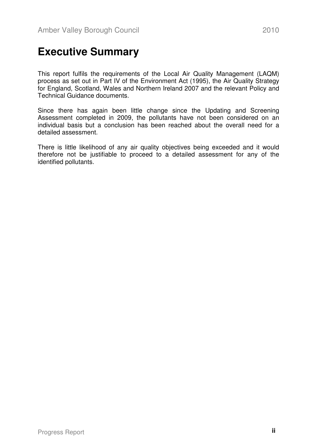## **Executive Summary**

This report fulfils the requirements of the Local Air Quality Management (LAQM) process as set out in Part IV of the Environment Act (1995), the Air Quality Strategy for England, Scotland, Wales and Northern Ireland 2007 and the relevant Policy and Technical Guidance documents.

Since there has again been little change since the Updating and Screening Assessment completed in 2009, the pollutants have not been considered on an individual basis but a conclusion has been reached about the overall need for a detailed assessment.

There is little likelihood of any air quality objectives being exceeded and it would therefore not be justifiable to proceed to a detailed assessment for any of the identified pollutants.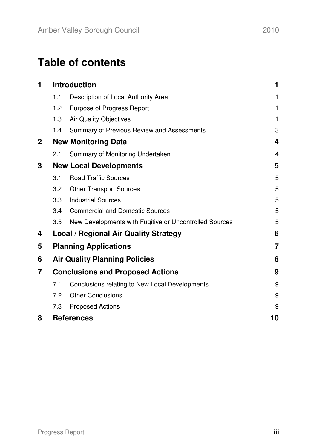# **Table of contents**

| 1            | <b>Introduction</b>                     |                                                        | 1              |
|--------------|-----------------------------------------|--------------------------------------------------------|----------------|
|              | 1.1                                     | Description of Local Authority Area                    | 1              |
|              | 1.2                                     | Purpose of Progress Report                             | $\mathbf 1$    |
|              | 1.3                                     | <b>Air Quality Objectives</b>                          | 1              |
|              | 1.4                                     | <b>Summary of Previous Review and Assessments</b>      | 3              |
| $\mathbf{2}$ | <b>New Monitoring Data</b>              |                                                        | 4              |
|              | 2.1                                     | Summary of Monitoring Undertaken                       | $\overline{4}$ |
| 3            | <b>New Local Developments</b>           |                                                        | 5              |
|              | 3.1                                     | <b>Road Traffic Sources</b>                            | 5              |
|              | 3.2                                     | <b>Other Transport Sources</b>                         | 5              |
|              | 3.3                                     | <b>Industrial Sources</b>                              | 5              |
|              | 3.4                                     | <b>Commercial and Domestic Sources</b>                 | 5              |
|              | 3.5                                     | New Developments with Fugitive or Uncontrolled Sources | 5              |
| 4            |                                         | <b>Local / Regional Air Quality Strategy</b>           | 6              |
| 5            |                                         | <b>Planning Applications</b>                           | $\overline{7}$ |
| 6            | <b>Air Quality Planning Policies</b>    |                                                        |                |
| 7            | <b>Conclusions and Proposed Actions</b> |                                                        | 9              |
|              | 7.1                                     | Conclusions relating to New Local Developments         | 9              |
|              | 7.2                                     | <b>Other Conclusions</b>                               | 9              |
|              | 7.3                                     | <b>Proposed Actions</b>                                | 9              |
| 8            |                                         | <b>References</b>                                      | 10             |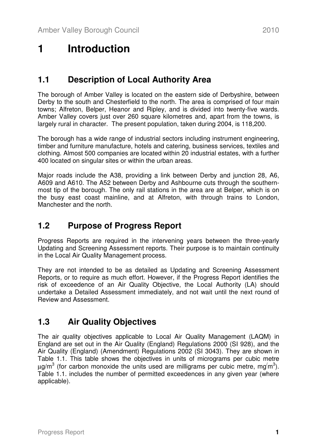# **1 Introduction**

#### **1.1 Description of Local Authority Area**

The borough of Amber Valley is located on the eastern side of Derbyshire, between Derby to the south and Chesterfield to the north. The area is comprised of four main towns; Alfreton, Belper, Heanor and Ripley, and is divided into twenty-five wards. Amber Valley covers just over 260 square kilometres and, apart from the towns, is largely rural in character. The present population, taken during 2004, is 118,200.

The borough has a wide range of industrial sectors including instrument engineering, timber and furniture manufacture, hotels and catering, business services, textiles and clothing. Almost 500 companies are located within 20 industrial estates, with a further 400 located on singular sites or within the urban areas.

Major roads include the A38, providing a link between Derby and junction 28, A6, A609 and A610. The A52 between Derby and Ashbourne cuts through the southernmost tip of the borough. The only rail stations in the area are at Belper, which is on the busy east coast mainline, and at Alfreton, with through trains to London, Manchester and the north.

### **1.2 Purpose of Progress Report**

Progress Reports are required in the intervening years between the three-yearly Updating and Screening Assessment reports. Their purpose is to maintain continuity in the Local Air Quality Management process.

They are not intended to be as detailed as Updating and Screening Assessment Reports, or to require as much effort. However, if the Progress Report identifies the risk of exceedence of an Air Quality Objective, the Local Authority (LA) should undertake a Detailed Assessment immediately, and not wait until the next round of Review and Assessment.

#### **1.3 Air Quality Objectives**

The air quality objectives applicable to Local Air Quality Management (LAQM) in England are set out in the Air Quality (England) Regulations 2000 (SI 928), and the Air Quality (England) (Amendment) Regulations 2002 (SI 3043). They are shown in Table 1.1. This table shows the objectives in units of micrograms per cubic metre  $\mu$ g/m<sup>3</sup> (for carbon monoxide the units used are milligrams per cubic metre, mg<sup>/</sup>m<sup>3</sup>). Table 1.1. includes the number of permitted exceedences in any given year (where applicable).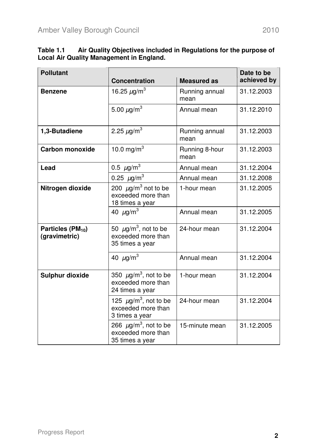| <b>Pollutant</b>                               |                                                                                 |                        | Date to be  |
|------------------------------------------------|---------------------------------------------------------------------------------|------------------------|-------------|
|                                                | <b>Concentration</b>                                                            | <b>Measured as</b>     | achieved by |
| <b>Benzene</b>                                 | 16.25 $\mu$ g/m <sup>3</sup>                                                    | Running annual<br>mean | 31.12.2003  |
|                                                | 5.00 $\mu$ g/m <sup>3</sup>                                                     | Annual mean            | 31.12.2010  |
| 1,3-Butadiene                                  | 2.25 $\mu$ g/m <sup>3</sup>                                                     | Running annual<br>mean | 31.12.2003  |
| <b>Carbon monoxide</b>                         | 10.0 mg/m <sup>3</sup>                                                          | Running 8-hour<br>mean | 31.12.2003  |
| Lead                                           | 0.5 $\mu$ g/m <sup>3</sup>                                                      | Annual mean            | 31.12.2004  |
|                                                | 0.25 $\mu$ g/m <sup>3</sup>                                                     | Annual mean            | 31.12.2008  |
| Nitrogen dioxide                               | 200 $\mu$ g/m <sup>3</sup> not to be<br>exceeded more than<br>18 times a year   | 1-hour mean            | 31.12.2005  |
|                                                | 40 $\mu$ g/m <sup>3</sup>                                                       | Annual mean            | 31.12.2005  |
| Particles (PM <sub>10</sub> )<br>(gravimetric) | 50 $\mu$ g/m <sup>3</sup> , not to be<br>exceeded more than<br>35 times a year  | 24-hour mean           | 31.12.2004  |
|                                                | 40 $\mu$ g/m <sup>3</sup>                                                       | Annual mean            | 31.12.2004  |
| <b>Sulphur dioxide</b>                         | 350 $\mu$ g/m <sup>3</sup> , not to be<br>exceeded more than<br>24 times a year | 1-hour mean            | 31.12.2004  |
|                                                | 125 $\mu$ g/m <sup>3</sup> , not to be<br>exceeded more than<br>3 times a year  | 24-hour mean           | 31.12.2004  |
|                                                | 266 $\mu$ g/m <sup>3</sup> , not to be<br>exceeded more than<br>35 times a year | 15-minute mean         | 31.12.2005  |

**Table 1.1 Air Quality Objectives included in Regulations for the purpose of Local Air Quality Management in England.**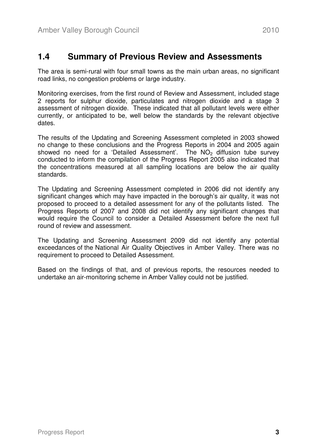The area is semi-rural with four small towns as the main urban areas, no significant road links, no congestion problems or large industry.

Monitoring exercises, from the first round of Review and Assessment, included stage 2 reports for sulphur dioxide, particulates and nitrogen dioxide and a stage 3 assessment of nitrogen dioxide. These indicated that all pollutant levels were either currently, or anticipated to be, well below the standards by the relevant objective dates.

The results of the Updating and Screening Assessment completed in 2003 showed no change to these conclusions and the Progress Reports in 2004 and 2005 again showed no need for a 'Detailed Assessment'. The  $NO<sub>2</sub>$  diffusion tube survey conducted to inform the compilation of the Progress Report 2005 also indicated that the concentrations measured at all sampling locations are below the air quality standards.

The Updating and Screening Assessment completed in 2006 did not identify any significant changes which may have impacted in the borough's air quality, it was not proposed to proceed to a detailed assessment for any of the pollutants listed. The Progress Reports of 2007 and 2008 did not identify any significant changes that would require the Council to consider a Detailed Assessment before the next full round of review and assessment.

The Updating and Screening Assessment 2009 did not identify any potential exceedances of the National Air Quality Objectives in Amber Valley. There was no requirement to proceed to Detailed Assessment.

Based on the findings of that, and of previous reports, the resources needed to undertake an air-monitoring scheme in Amber Valley could not be justified.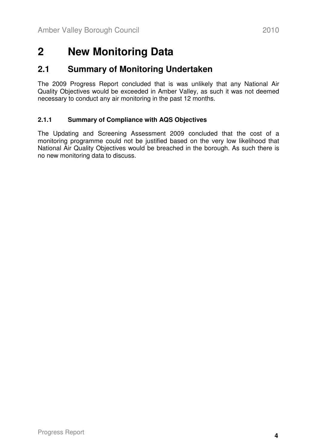# **2 New Monitoring Data**

#### **2.1 Summary of Monitoring Undertaken**

The 2009 Progress Report concluded that is was unlikely that any National Air Quality Objectives would be exceeded in Amber Valley, as such it was not deemed necessary to conduct any air monitoring in the past 12 months.

#### **2.1.1 Summary of Compliance with AQS Objectives**

The Updating and Screening Assessment 2009 concluded that the cost of a monitoring programme could not be justified based on the very low likelihood that National Air Quality Objectives would be breached in the borough. As such there is no new monitoring data to discuss.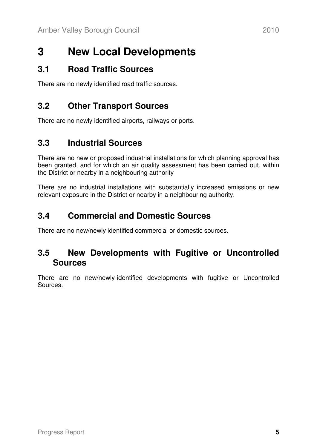# **3 New Local Developments**

#### **3.1 Road Traffic Sources**

There are no newly identified road traffic sources.

### **3.2 Other Transport Sources**

There are no newly identified airports, railways or ports.

## **3.3 Industrial Sources**

There are no new or proposed industrial installations for which planning approval has been granted, and for which an air quality assessment has been carried out, within the District or nearby in a neighbouring authority

There are no industrial installations with substantially increased emissions or new relevant exposure in the District or nearby in a neighbouring authority.

## **3.4 Commercial and Domestic Sources**

There are no new/newly identified commercial or domestic sources.

#### **3.5 New Developments with Fugitive or Uncontrolled Sources**

There are no new/newly-identified developments with fugitive or Uncontrolled Sources.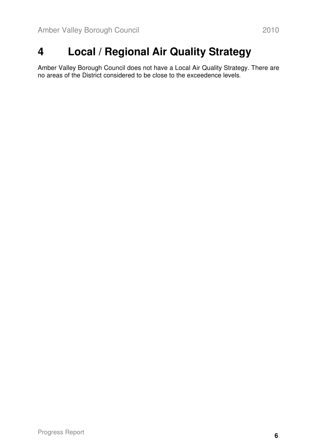# **4 Local / Regional Air Quality Strategy**

Amber Valley Borough Council does not have a Local Air Quality Strategy. There are no areas of the District considered to be close to the exceedence levels.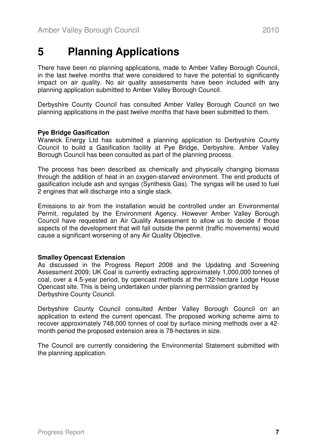## **5 Planning Applications**

There have been no planning applications, made to Amber Valley Borough Council, in the last twelve months that were considered to have the potential to significantly impact on air quality. No air quality assessments have been included with any planning application submitted to Amber Valley Borough Council.

Derbyshire County Council has consulted Amber Valley Borough Council on two planning applications in the past twelve months that have been submitted to them.

#### **Pye Bridge Gasification**

Warwick Energy Ltd has submitted a planning application to Derbyshire County Council to build a Gasification facility at Pye Bridge, Derbyshire. Amber Valley Borough Council has been consulted as part of the planning process.

The process has been described as chemically and physically changing biomass through the addition of heat in an oxygen-starved environment. The end products of gasification include ash and syngas (Synthesis Gas). The syngas will be used to fuel 2 engines that will discharge into a single stack.

Emissions to air from the installation would be controlled under an Environmental Permit, regulated by the Environment Agency. However Amber Valley Borough Council have requested an Air Quality Assessment to allow us to decide if those aspects of the development that will fall outside the permit (traffic movements) would cause a significant worsening of any Air Quality Objective.

#### **Smalley Opencast Extension**

As discussed in the Progress Report 2008 and the Updating and Screening Assessment 2009; UK Coal is currently extracting approximately 1,000,000 tonnes of coal, over a 4.5-year period, by opencast methods at the 122-hectare Lodge House Opencast site. This is being undertaken under planning permission granted by Derbyshire County Council.

Derbyshire County Council consulted Amber Valley Borough Council on an application to extend the current opencast. The proposed working scheme aims to recover approximately 748,000 tonnes of coal by surface mining methods over a 42 month period the proposed extension area is 78-hectares in size.

The Council are currently considering the Environmental Statement submitted with the planning application.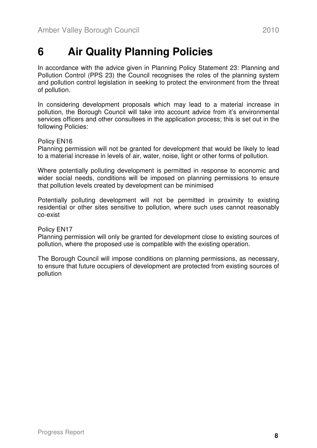# **6 Air Quality Planning Policies**

In accordance with the advice given in Planning Policy Statement 23: Planning and Pollution Control (PPS 23) the Council recognises the roles of the planning system and pollution control legislation in seeking to protect the environment from the threat of pollution.

In considering development proposals which may lead to a material increase in pollution, the Borough Council will take into account advice from it's environmental services officers and other consultees in the application process; this is set out in the following Policies:

#### Policy EN16

Planning permission will not be granted for development that would be likely to lead to a material increase in levels of air, water, noise, light or other forms of pollution.

Where potentially polluting development is permitted in response to economic and wider social needs, conditions will be imposed on planning permissions to ensure that pollution levels created by development can be minimised

Potentially polluting development will not be permitted in proximity to existing residential or other sites sensitive to pollution, where such uses cannot reasonably co-exist

#### Policy EN17

Planning permission will only be granted for development close to existing sources of pollution, where the proposed use is compatible with the existing operation.

The Borough Council will impose conditions on planning permissions, as necessary, to ensure that future occupiers of development are protected from existing sources of pollution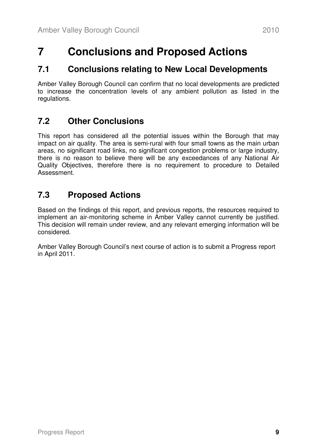## **7 Conclusions and Proposed Actions**

#### **7.1 Conclusions relating to New Local Developments**

Amber Valley Borough Council can confirm that no local developments are predicted to increase the concentration levels of any ambient pollution as listed in the regulations.

## **7.2 Other Conclusions**

This report has considered all the potential issues within the Borough that may impact on air quality. The area is semi-rural with four small towns as the main urban areas, no significant road links, no significant congestion problems or large industry, there is no reason to believe there will be any exceedances of any National Air Quality Objectives, therefore there is no requirement to procedure to Detailed Assessment.

## **7.3 Proposed Actions**

Based on the findings of this report, and previous reports, the resources required to implement an air-monitoring scheme in Amber Valley cannot currently be justified. This decision will remain under review, and any relevant emerging information will be considered.

Amber Valley Borough Council's next course of action is to submit a Progress report in April 2011.